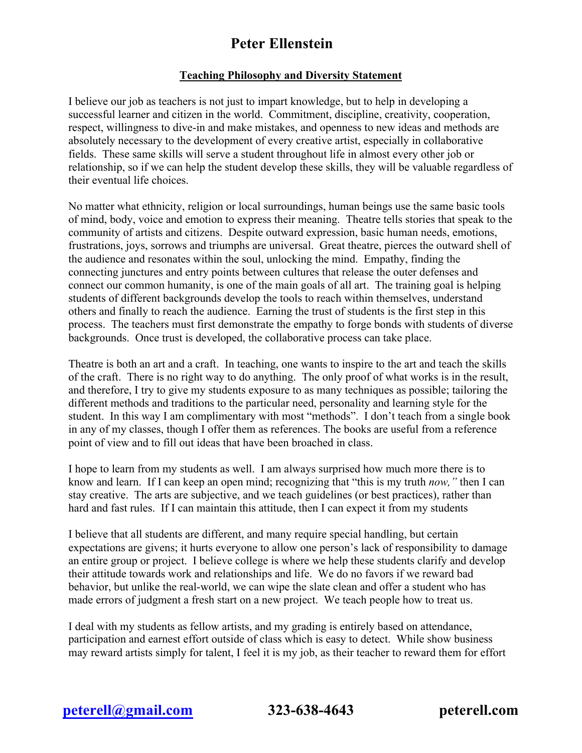## **Peter Ellenstein**

## **Teaching Philosophy and Diversity Statement**

I believe our job as teachers is not just to impart knowledge, but to help in developing a successful learner and citizen in the world. Commitment, discipline, creativity, cooperation, respect, willingness to dive-in and make mistakes, and openness to new ideas and methods are absolutely necessary to the development of every creative artist, especially in collaborative fields. These same skills will serve a student throughout life in almost every other job or relationship, so if we can help the student develop these skills, they will be valuable regardless of their eventual life choices.

No matter what ethnicity, religion or local surroundings, human beings use the same basic tools of mind, body, voice and emotion to express their meaning. Theatre tells stories that speak to the community of artists and citizens. Despite outward expression, basic human needs, emotions, frustrations, joys, sorrows and triumphs are universal. Great theatre, pierces the outward shell of the audience and resonates within the soul, unlocking the mind. Empathy, finding the connecting junctures and entry points between cultures that release the outer defenses and connect our common humanity, is one of the main goals of all art. The training goal is helping students of different backgrounds develop the tools to reach within themselves, understand others and finally to reach the audience. Earning the trust of students is the first step in this process. The teachers must first demonstrate the empathy to forge bonds with students of diverse backgrounds. Once trust is developed, the collaborative process can take place.

Theatre is both an art and a craft. In teaching, one wants to inspire to the art and teach the skills of the craft. There is no right way to do anything. The only proof of what works is in the result, and therefore, I try to give my students exposure to as many techniques as possible; tailoring the different methods and traditions to the particular need, personality and learning style for the student. In this way I am complimentary with most "methods". I don't teach from a single book in any of my classes, though I offer them as references. The books are useful from a reference point of view and to fill out ideas that have been broached in class.

I hope to learn from my students as well. I am always surprised how much more there is to know and learn. If I can keep an open mind; recognizing that "this is my truth *now,"* then I can stay creative. The arts are subjective, and we teach guidelines (or best practices), rather than hard and fast rules. If I can maintain this attitude, then I can expect it from my students

I believe that all students are different, and many require special handling, but certain expectations are givens; it hurts everyone to allow one person's lack of responsibility to damage an entire group or project. I believe college is where we help these students clarify and develop their attitude towards work and relationships and life. We do no favors if we reward bad behavior, but unlike the real-world, we can wipe the slate clean and offer a student who has made errors of judgment a fresh start on a new project. We teach people how to treat us.

I deal with my students as fellow artists, and my grading is entirely based on attendance, participation and earnest effort outside of class which is easy to detect. While show business may reward artists simply for talent, I feel it is my job, as their teacher to reward them for effort